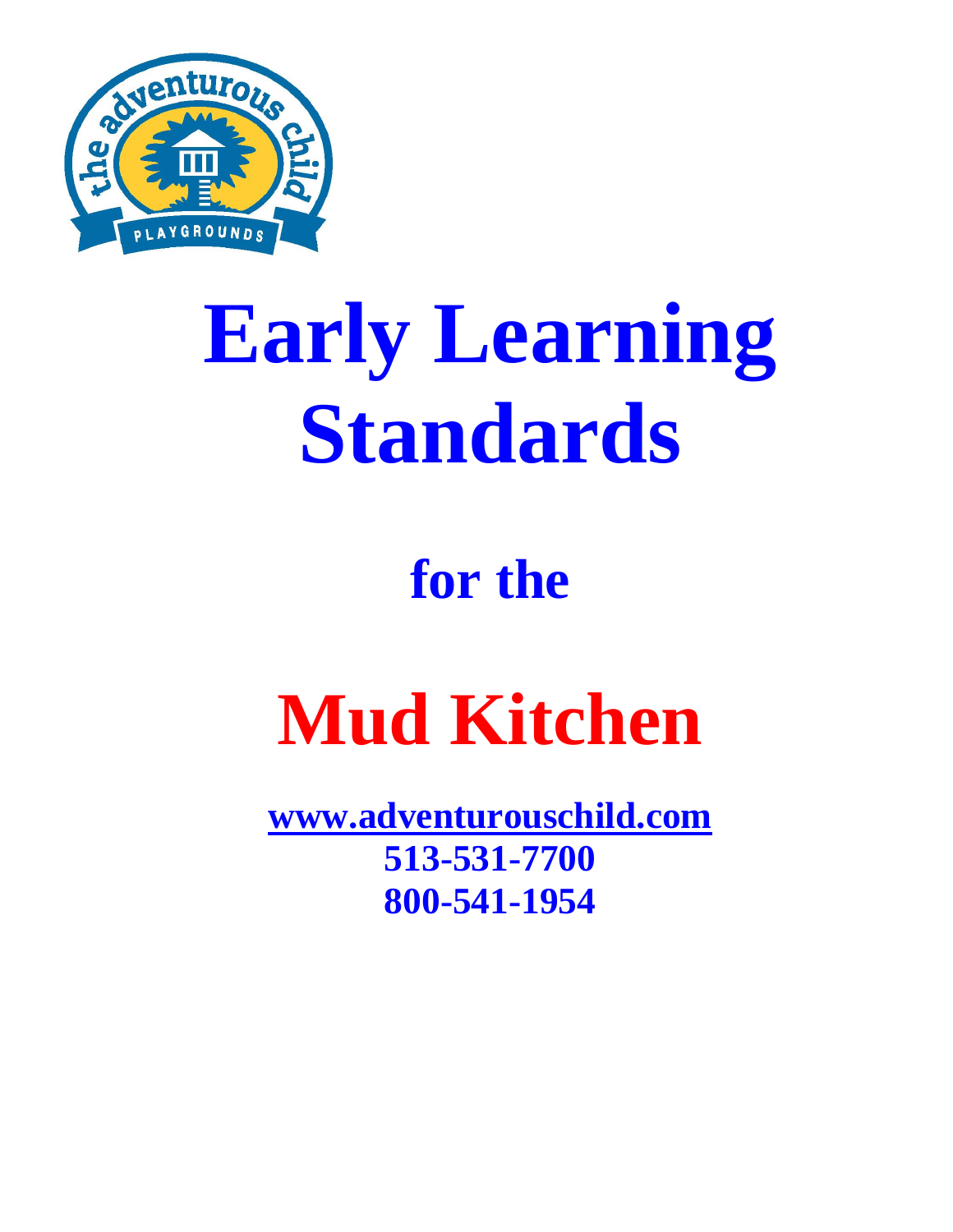

# **Early Learning Standards**

### **for the**

## **Mud Kitchen**

**[www.adventurouschild.com](http://www.adventurouschild.com/) 513-531-7700 800-541-1954**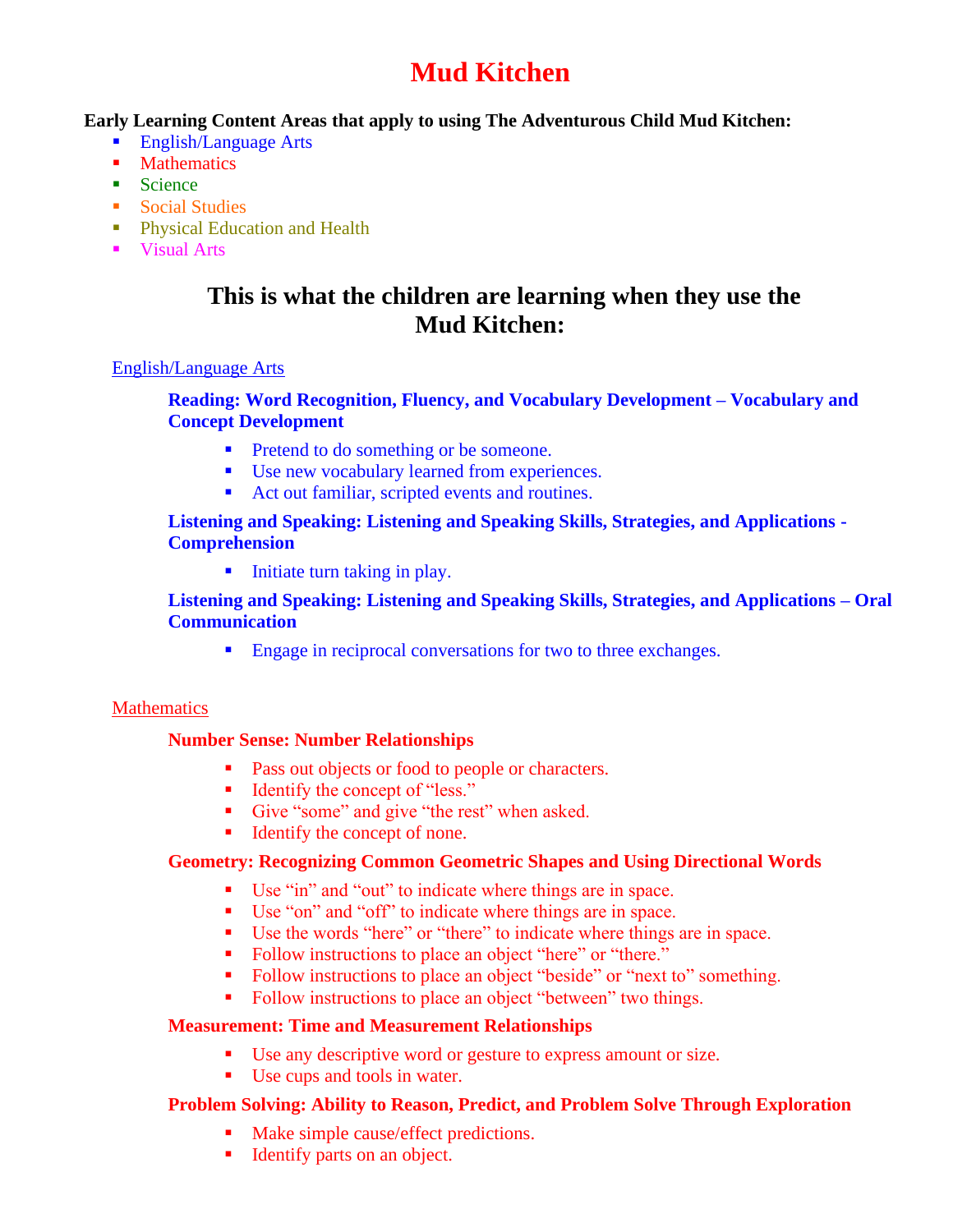#### **Mud Kitchen**

#### **Early Learning Content Areas that apply to using The Adventurous Child Mud Kitchen:**

- English/Language Arts
- Mathematics
- $\blacksquare$  Science
- Social Studies
- **Physical Education and Health**
- Visual Arts

#### **This is what the children are learning when they use the Mud Kitchen:**

#### English/Language Arts

#### **Reading: Word Recognition, Fluency, and Vocabulary Development – Vocabulary and Concept Development**

- Pretend to do something or be someone.
- Use new vocabulary learned from experiences.
- Act out familiar, scripted events and routines.

#### **Listening and Speaking: Listening and Speaking Skills, Strategies, and Applications - Comprehension**

■ Initiate turn taking in play.

#### **Listening and Speaking: Listening and Speaking Skills, Strategies, and Applications – Oral Communication**

■ Engage in reciprocal conversations for two to three exchanges.

#### **Mathematics**

#### **Number Sense: Number Relationships**

- Pass out objects or food to people or characters.
- Identify the concept of "less."
- Give "some" and give "the rest" when asked.
- Identify the concept of none.

#### **Geometry: Recognizing Common Geometric Shapes and Using Directional Words**

- Use "in" and "out" to indicate where things are in space.
- Use "on" and "off" to indicate where things are in space.
- Use the words "here" or "there" to indicate where things are in space.
- Follow instructions to place an object "here" or "there."
- Follow instructions to place an object "beside" or "next to" something.
- Follow instructions to place an object "between" two things.

#### **Measurement: Time and Measurement Relationships**

- Use any descriptive word or gesture to express amount or size.
- Use cups and tools in water.

#### **Problem Solving: Ability to Reason, Predict, and Problem Solve Through Exploration**

- Make simple cause/effect predictions.
- Identify parts on an object.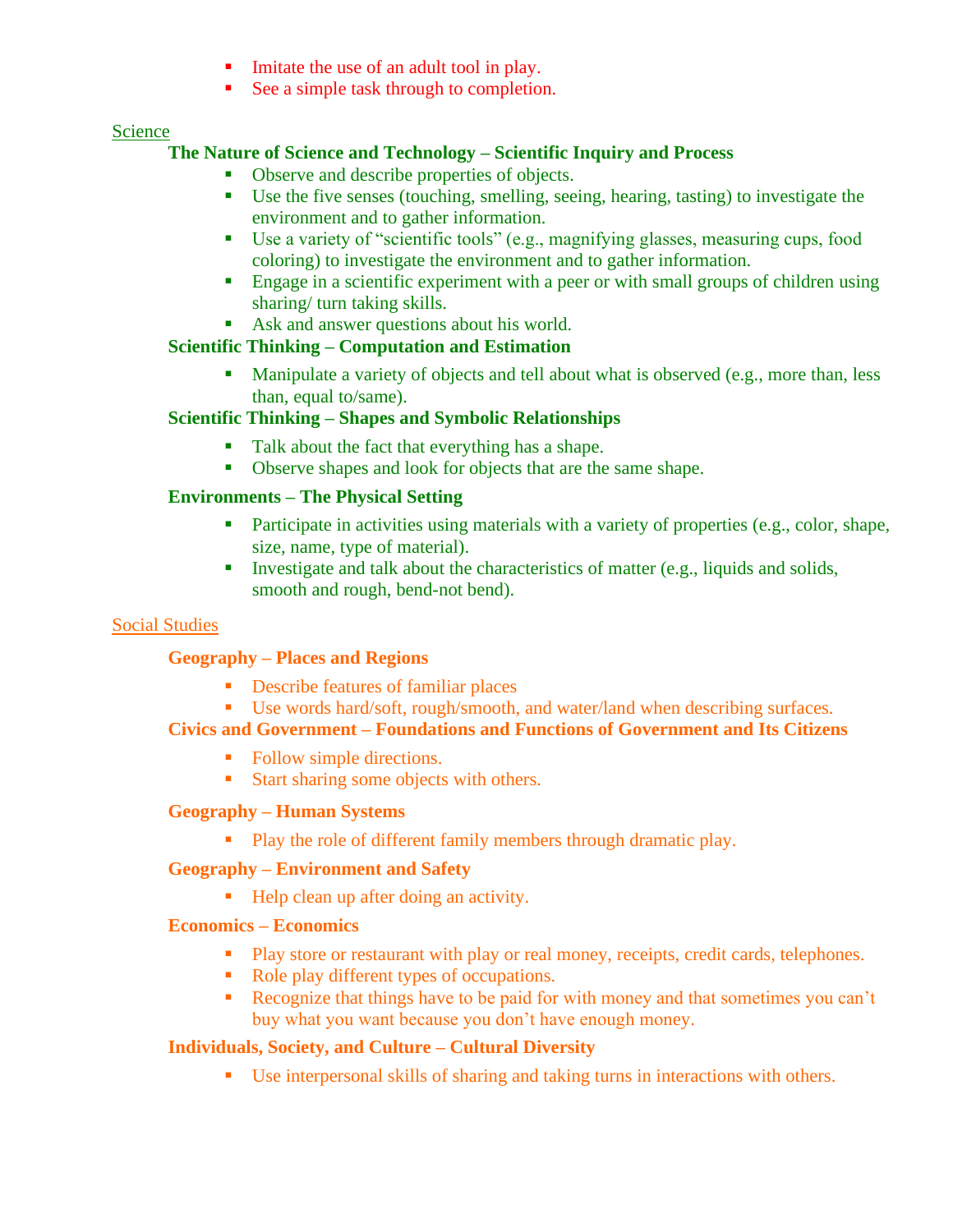- Imitate the use of an adult tool in play.
- See a simple task through to completion.

#### Science

#### **The Nature of Science and Technology – Scientific Inquiry and Process**

- Observe and describe properties of objects.
- Use the five senses (touching, smelling, seeing, hearing, tasting) to investigate the environment and to gather information.
- Use a variety of "scientific tools" (e.g., magnifying glasses, measuring cups, food coloring) to investigate the environment and to gather information.
- **Engage in a scientific experiment with a peer or with small groups of children using** sharing/ turn taking skills.
- Ask and answer questions about his world.

#### **Scientific Thinking – Computation and Estimation**

**I** Manipulate a variety of objects and tell about what is observed (e.g., more than, less than, equal to/same).

#### **Scientific Thinking – Shapes and Symbolic Relationships**

- Talk about the fact that everything has a shape.
- Observe shapes and look for objects that are the same shape.

#### **Environments – The Physical Setting**

- **•** Participate in activities using materials with a variety of properties (e.g., color, shape, size, name, type of material).
- **I.** Investigate and talk about the characteristics of matter (e.g., liquids and solids, smooth and rough, bend-not bend).

#### Social Studies

#### **Geography – Places and Regions**

- Describe features of familiar places
- Use words hard/soft, rough/smooth, and water/land when describing surfaces.

#### **Civics and Government – Foundations and Functions of Government and Its Citizens**

- Follow simple directions.
- Start sharing some objects with others.

#### **Geography – Human Systems**

■ Play the role of different family members through dramatic play.

#### **Geography – Environment and Safety**

■ Help clean up after doing an activity.

#### **Economics – Economics**

- Play store or restaurant with play or real money, receipts, credit cards, telephones.
- Role play different types of occupations.
- Recognize that things have to be paid for with money and that sometimes you can't buy what you want because you don't have enough money.

#### **Individuals, Society, and Culture – Cultural Diversity**

▪ Use interpersonal skills of sharing and taking turns in interactions with others.